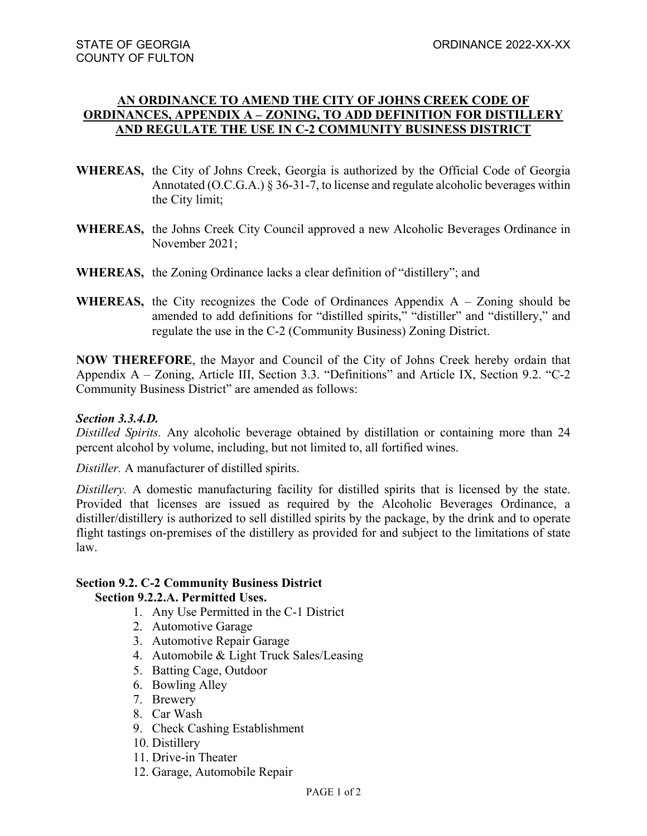## **AN ORDINANCE TO AMEND THE CITY OF JOHNS CREEK CODE OF ORDINANCES, APPENDIX A – ZONING, TO ADD DEFINITION FOR DISTILLERY AND REGULATE THE USE IN C-2 COMMUNITY BUSINESS DISTRICT**

- **WHEREAS,** the City of Johns Creek, Georgia is authorized by the Official Code of Georgia Annotated (O.C.G.A.) § 36-31-7, to license and regulate alcoholic beverages within the City limit;
- **WHEREAS,** the Johns Creek City Council approved a new Alcoholic Beverages Ordinance in November 2021;
- **WHEREAS,** the Zoning Ordinance lacks a clear definition of "distillery"; and
- **WHEREAS,** the City recognizes the Code of Ordinances Appendix  $A Z$ oning should be amended to add definitions for "distilled spirits," "distiller" and "distillery," and regulate the use in the C-2 (Community Business) Zoning District.

**NOW THEREFORE**, the Mayor and Council of the City of Johns Creek hereby ordain that Appendix A – Zoning, Article III, Section 3.3. "Definitions" and Article IX, Section 9.2. "C-2 Community Business District" are amended as follows:

## *Section 3.3.4.D.*

*Distilled Spirits.* Any alcoholic beverage obtained by distillation or containing more than 24 percent alcohol by volume, including, but not limited to, all fortified wines.

*Distiller.* A manufacturer of distilled spirits.

*Distillery.* A domestic manufacturing facility for distilled spirits that is licensed by the state. Provided that licenses are issued as required by the Alcoholic Beverages Ordinance, a distiller/distillery is authorized to sell distilled spirits by the package, by the drink and to operate flight tastings on-premises of the distillery as provided for and subject to the limitations of state law.

## **Section 9.2. C-2 Community Business District**

## **Section 9.2.2.A. Permitted Uses.**

- 1. Any Use Permitted in the C-1 District
- 2. Automotive Garage
- 3. Automotive Repair Garage
- 4. Automobile & Light Truck Sales/Leasing
- 5. Batting Cage, Outdoor
- 6. Bowling Alley
- 7. Brewery
- 8. Car Wash
- 9. Check Cashing Establishment
- 10. Distillery
- 11. Drive-in Theater
- 12. Garage, Automobile Repair